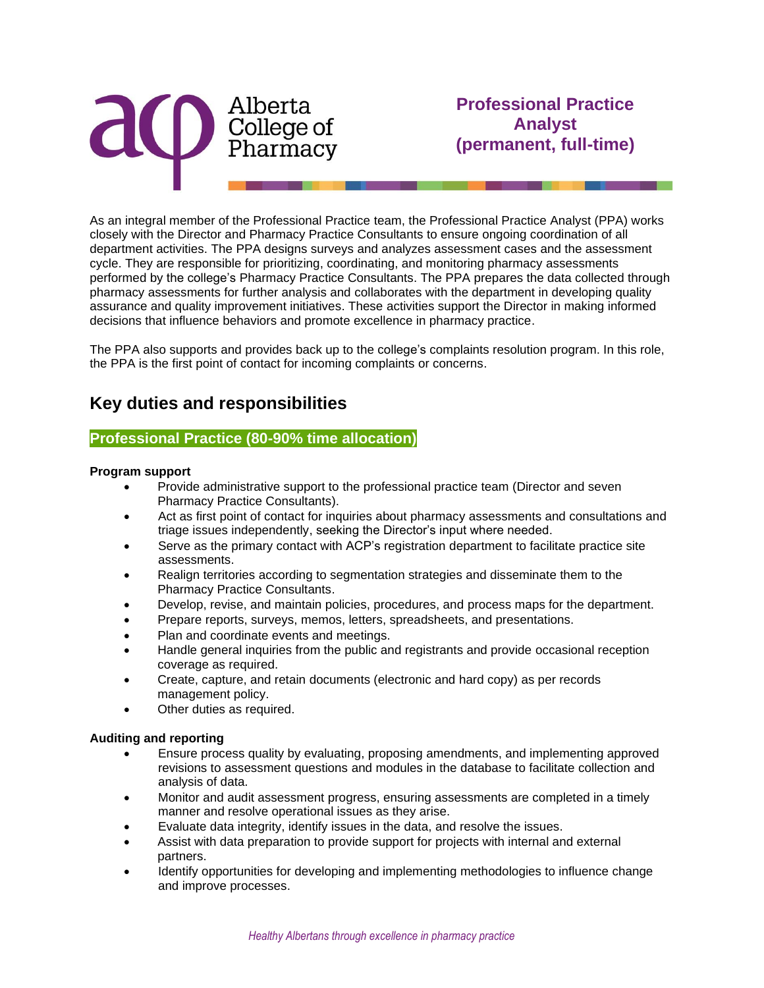

As an integral member of the Professional Practice team, the Professional Practice Analyst (PPA) works closely with the Director and Pharmacy Practice Consultants to ensure ongoing coordination of all department activities. The PPA designs surveys and analyzes assessment cases and the assessment cycle. They are responsible for prioritizing, coordinating, and monitoring pharmacy assessments performed by the college's Pharmacy Practice Consultants. The PPA prepares the data collected through pharmacy assessments for further analysis and collaborates with the department in developing quality assurance and quality improvement initiatives. These activities support the Director in making informed decisions that influence behaviors and promote excellence in pharmacy practice.

The PPA also supports and provides back up to the college's complaints resolution program. In this role, the PPA is the first point of contact for incoming complaints or concerns.

# **Key duties and responsibilities**

#### **Professional Practice (80-90% time allocation)**

#### **Program support**

- Provide administrative support to the professional practice team (Director and seven Pharmacy Practice Consultants).
- Act as first point of contact for inquiries about pharmacy assessments and consultations and triage issues independently, seeking the Director's input where needed.
- Serve as the primary contact with ACP's registration department to facilitate practice site assessments.
- Realign territories according to segmentation strategies and disseminate them to the Pharmacy Practice Consultants.
- Develop, revise, and maintain policies, procedures, and process maps for the department.
- Prepare reports, surveys, memos, letters, spreadsheets, and presentations.
- Plan and coordinate events and meetings.
- Handle general inquiries from the public and registrants and provide occasional reception coverage as required.
- Create, capture, and retain documents (electronic and hard copy) as per records management policy.
- Other duties as required.

#### **Auditing and reporting**

- Ensure process quality by evaluating, proposing amendments, and implementing approved revisions to assessment questions and modules in the database to facilitate collection and analysis of data.
- Monitor and audit assessment progress, ensuring assessments are completed in a timely manner and resolve operational issues as they arise.
- Evaluate data integrity, identify issues in the data, and resolve the issues.
- Assist with data preparation to provide support for projects with internal and external partners.
- Identify opportunities for developing and implementing methodologies to influence change and improve processes.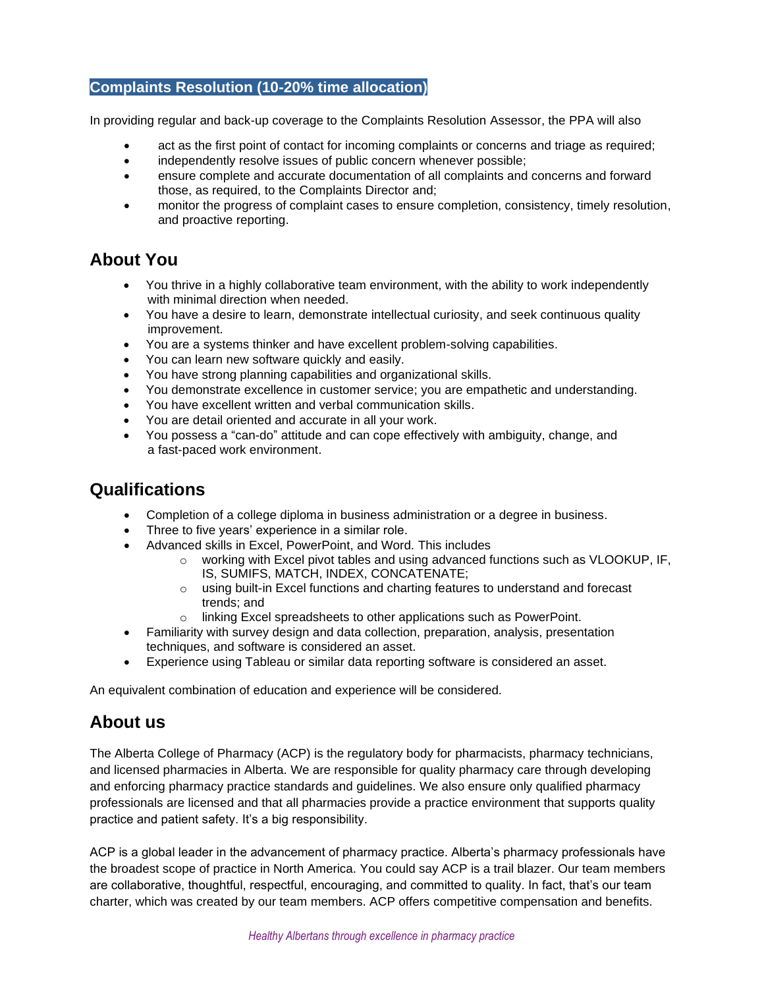### **Complaints Resolution (10-20% time allocation)**

In providing regular and back-up coverage to the Complaints Resolution Assessor, the PPA will also

- act as the first point of contact for incoming complaints or concerns and triage as required;
- independently resolve issues of public concern whenever possible;
- ensure complete and accurate documentation of all complaints and concerns and forward those, as required, to the Complaints Director and;
- monitor the progress of complaint cases to ensure completion, consistency, timely resolution, and proactive reporting.

## **About You**

- You thrive in a highly collaborative team environment, with the ability to work independently with minimal direction when needed.
- You have a desire to learn, demonstrate intellectual curiosity, and seek continuous quality improvement.
- You are a systems thinker and have excellent problem-solving capabilities.
- You can learn new software quickly and easily.
- You have strong planning capabilities and organizational skills.
- You demonstrate excellence in customer service; you are empathetic and understanding.
- You have excellent written and verbal communication skills.
- You are detail oriented and accurate in all your work.
- You possess a "can-do" attitude and can cope effectively with ambiguity, change, and a fast-paced work environment.

### **Qualifications**

- Completion of a college diploma in business administration or a degree in business.
- Three to five years' experience in a similar role.
- Advanced skills in Excel, PowerPoint, and Word. This includes
	- o working with Excel pivot tables and using advanced functions such as VLOOKUP, IF, IS, SUMIFS, MATCH, INDEX, CONCATENATE;
	- o using built-in Excel functions and charting features to understand and forecast trends; and
	- o linking Excel spreadsheets to other applications such as PowerPoint.
- Familiarity with survey design and data collection, preparation, analysis, presentation techniques, and software is considered an asset.
- Experience using Tableau or similar data reporting software is considered an asset.

An equivalent combination of education and experience will be considered.

## **About us**

The Alberta College of Pharmacy (ACP) is the regulatory body for pharmacists, pharmacy technicians, and licensed pharmacies in Alberta. We are responsible for quality pharmacy care through developing and enforcing pharmacy practice standards and guidelines. We also ensure only qualified pharmacy professionals are licensed and that all pharmacies provide a practice environment that supports quality practice and patient safety. It's a big responsibility.

ACP is a global leader in the advancement of pharmacy practice. Alberta's pharmacy professionals have the broadest scope of practice in North America. You could say ACP is a trail blazer. Our team members are collaborative, thoughtful, respectful, encouraging, and committed to quality. In fact, that's our team charter, which was created by our team members. ACP offers competitive compensation and benefits.